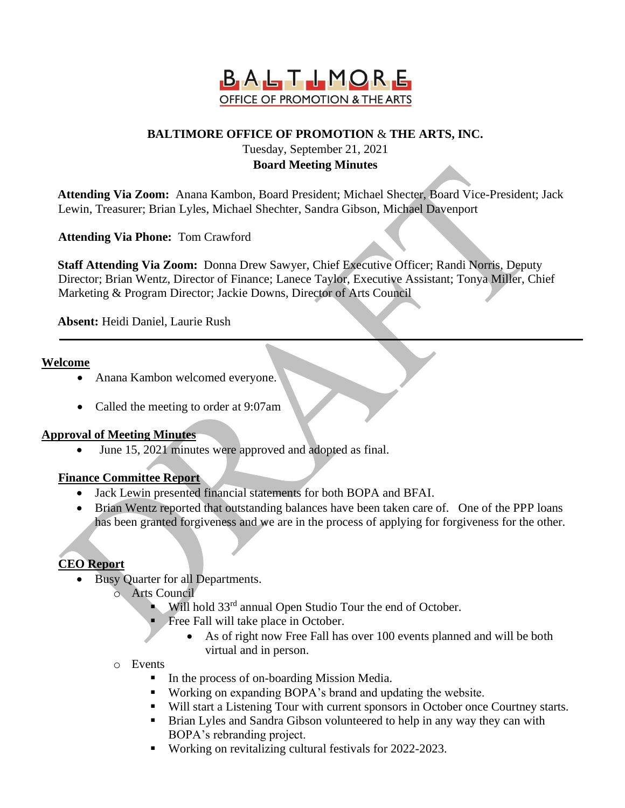

## **BALTIMORE OFFICE OF PROMOTION** & **THE ARTS, INC.**

Tuesday, September 21, 2021

# **Board Meeting Minutes**

**Attending Via Zoom:** Anana Kambon, Board President; Michael Shecter, Board Vice-President; Jack Lewin, Treasurer; Brian Lyles, Michael Shechter, Sandra Gibson, Michael Davenport

**Attending Via Phone:** Tom Crawford

**Staff Attending Via Zoom:** Donna Drew Sawyer, Chief Executive Officer; Randi Norris, Deputy Director; Brian Wentz, Director of Finance; Lanece Taylor, Executive Assistant; Tonya Miller, Chief Marketing & Program Director; Jackie Downs, Director of Arts Council

**Absent:** Heidi Daniel, Laurie Rush

#### **Welcome**

- Anana Kambon welcomed everyone.
- Called the meeting to order at 9:07am

#### **Approval of Meeting Minutes**

• June 15, 2021 minutes were approved and adopted as final.

#### **Finance Committee Report**

- Jack Lewin presented financial statements for both BOPA and BFAI.
- Brian Wentz reported that outstanding balances have been taken care of. One of the PPP loans has been granted forgiveness and we are in the process of applying for forgiveness for the other.

## **CEO Report**

- Busy Quarter for all Departments.
	- o Arts Council
		- Will hold 33<sup>rd</sup> annual Open Studio Tour the end of October.
			- Free Fall will take place in October.
				- As of right now Free Fall has over 100 events planned and will be both virtual and in person.
	- o Events
		- In the process of on-boarding Mission Media.
		- Working on expanding BOPA's brand and updating the website.
		- Will start a Listening Tour with current sponsors in October once Courtney starts.
		- **EXECUTE:** Brian Lyles and Sandra Gibson volunteered to help in any way they can with BOPA's rebranding project.
		- Working on revitalizing cultural festivals for 2022-2023.